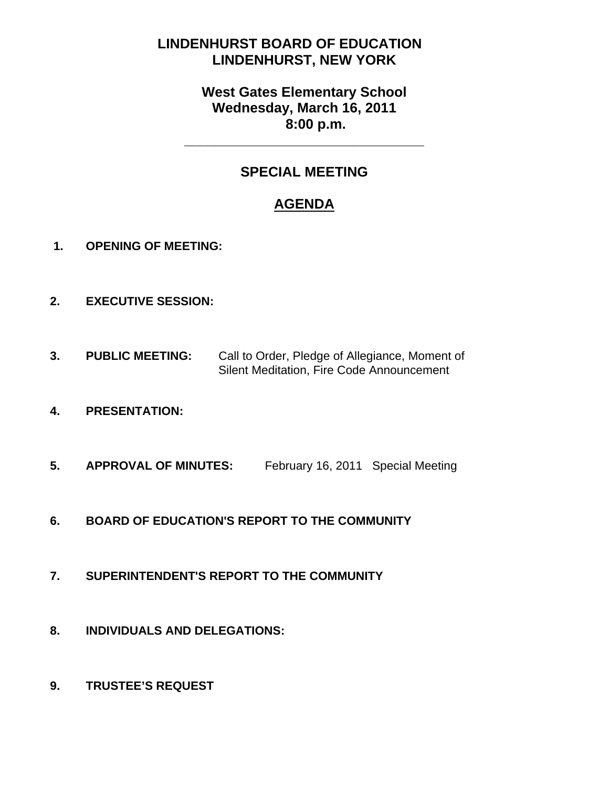# **LINDENHURST BOARD OF EDUCATION LINDENHURST, NEW YORK**

# **West Gates Elementary School Wednesday, March 16, 2011 8:00 p.m.**

# **SPECIAL MEETING**

**\_\_\_\_\_\_\_\_\_\_\_\_\_\_\_\_\_\_\_\_\_\_\_\_\_\_\_\_\_\_\_** 

# **AGENDA**

- **1. OPENING OF MEETING:**
- **2. EXECUTIVE SESSION:**
- **3. PUBLIC MEETING:** Call to Order, Pledge of Allegiance, Moment of Silent Meditation, Fire Code Announcement
- **4. PRESENTATION:**
- **5. APPROVAL OF MINUTES:** February 16, 2011 Special Meeting
- **6. BOARD OF EDUCATION'S REPORT TO THE COMMUNITY**
- **7. SUPERINTENDENT'S REPORT TO THE COMMUNITY**
- **8. INDIVIDUALS AND DELEGATIONS:**
- **9. TRUSTEE'S REQUEST**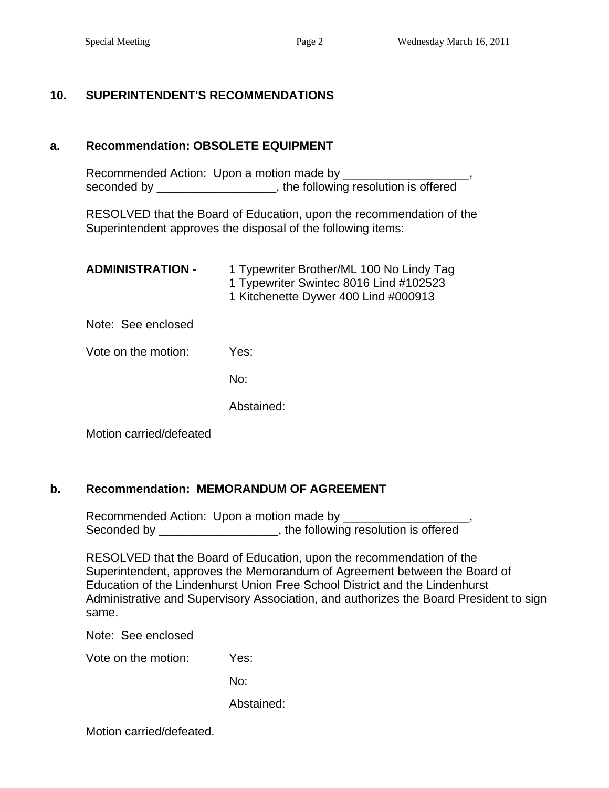### **10. SUPERINTENDENT'S RECOMMENDATIONS**

#### **a. Recommendation: OBSOLETE EQUIPMENT**

Recommended Action: Upon a motion made by \_\_\_\_\_\_\_\_\_ seconded by example and the following resolution is offered

RESOLVED that the Board of Education, upon the recommendation of the Superintendent approves the disposal of the following items:

| <b>ADMINISTRATION -</b> | 1 Typewriter Brother/ML 100 No Lindy Tag<br>1 Typewriter Swintec 8016 Lind #102523<br>1 Kitchenette Dywer 400 Lind #000913 |
|-------------------------|----------------------------------------------------------------------------------------------------------------------------|
| Note: See enclosed      |                                                                                                                            |
| Vote on the motion:     | Yes:                                                                                                                       |
|                         | No:                                                                                                                        |
|                         | Abstained:                                                                                                                 |
|                         |                                                                                                                            |

Motion carried/defeated

#### **b. Recommendation: MEMORANDUM OF AGREEMENT**

Recommended Action: Upon a motion made by \_\_\_\_\_\_\_\_\_\_\_\_\_\_\_\_\_\_\_, Seconded by \_\_\_\_\_\_\_\_\_\_\_\_\_\_\_\_\_\_, the following resolution is offered

RESOLVED that the Board of Education, upon the recommendation of the Superintendent, approves the Memorandum of Agreement between the Board of Education of the Lindenhurst Union Free School District and the Lindenhurst Administrative and Supervisory Association, and authorizes the Board President to sign same.

Note: See enclosed

Vote on the motion: Yes:

No:

Abstained:

Motion carried/defeated.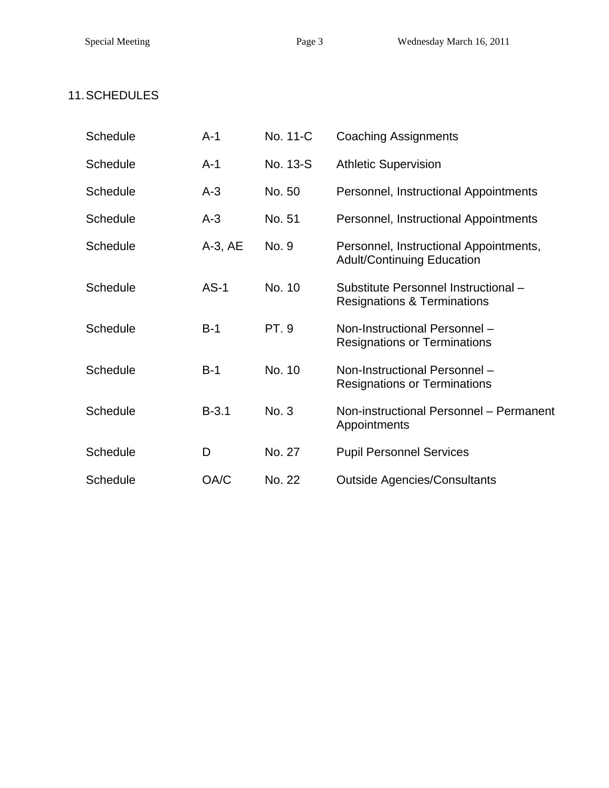# 11. SCHEDULES

| <b>Schedule</b> | $A-1$        | No. 11-C    | <b>Coaching Assignments</b>                                                    |
|-----------------|--------------|-------------|--------------------------------------------------------------------------------|
| <b>Schedule</b> | $A-1$        | No. 13-S    | <b>Athletic Supervision</b>                                                    |
| <b>Schedule</b> | $A-3$        | No. 50      | Personnel, Instructional Appointments                                          |
| <b>Schedule</b> | $A-3$        | No. 51      | Personnel, Instructional Appointments                                          |
| <b>Schedule</b> | $A-3$ , $AE$ | No. 9       | Personnel, Instructional Appointments,<br><b>Adult/Continuing Education</b>    |
| <b>Schedule</b> | $AS-1$       | No. 10      | Substitute Personnel Instructional -<br><b>Resignations &amp; Terminations</b> |
| <b>Schedule</b> | $B-1$        | <b>PT.9</b> | Non-Instructional Personnel -<br><b>Resignations or Terminations</b>           |
| <b>Schedule</b> | $B-1$        | No. 10      | Non-Instructional Personnel -<br><b>Resignations or Terminations</b>           |
| <b>Schedule</b> | $B-3.1$      | No. 3       | Non-instructional Personnel - Permanent<br>Appointments                        |
| <b>Schedule</b> | D            | No. 27      | <b>Pupil Personnel Services</b>                                                |
| <b>Schedule</b> | OA/C         | No. 22      | <b>Outside Agencies/Consultants</b>                                            |